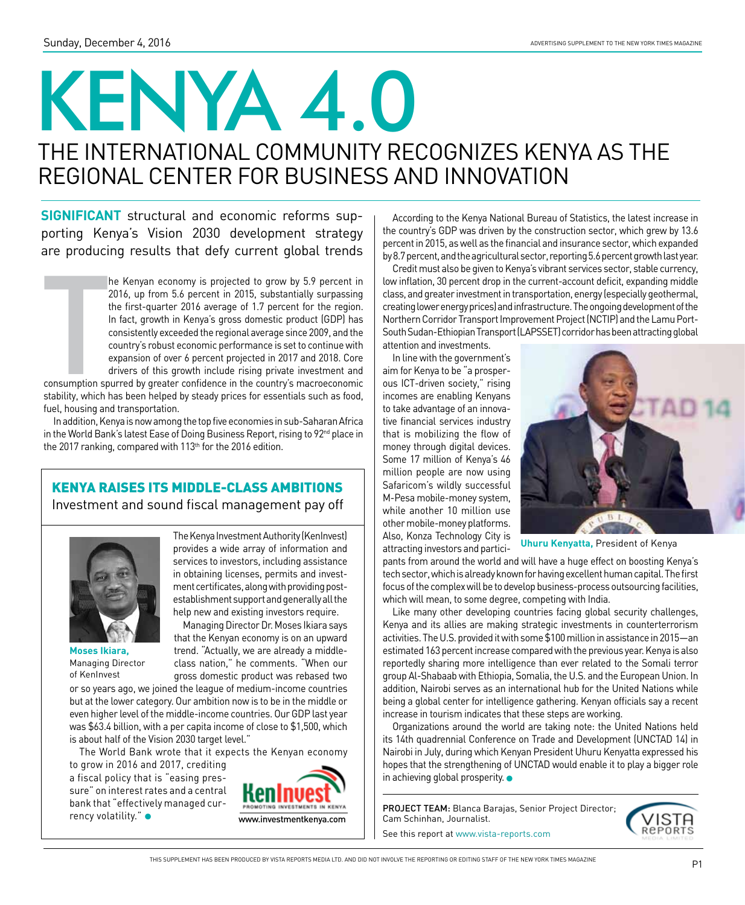# KENYA 4.0 The international community recognizes Kenya as the regional center for business and innovation

**Significant** structural and economic reforms supporting Kenya's Vision 2030 development strategy are producing results that defy current global trends

he Kenyan economy is projected to grow by 5.9 percent in 2016, up from 5.6 percent in 2015, substantially surpassing the first-quarter 2016 average of 1.7 percent for the region. In fact, growth in Kenya's gross domestic p 2016, up from 5.6 percent in 2015, substantially surpassing the first-quarter 2016 average of 1.7 percent for the region. In fact, growth in Kenya's gross domestic product (GDP) has consistently exceeded the regional average since 2009, and the country's robust economic performance is set to continue with expansion of over 6 percent projected in 2017 and 2018. Core drivers of this growth include rising private investment and

consumption spurred by greater confidence in the country's macroeconomic stability, which has been helped by steady prices for essentials such as food, fuel, housing and transportation.

In addition, Kenya is now among the top five economies in sub-Saharan Africa in the World Bank's latest Ease of Doing Business Report, rising to 92<sup>nd</sup> place in the 2017 ranking, compared with 113<sup>th</sup> for the 2016 edition.

### Kenya raises its middle-class ambitions

Investment and sound fiscal management pay off



in obtaining licenses, permits and investment certificates, along with providing postestablishment support and generally all the help new and existing investors require. Managing Director Dr. Moses Ikiara says that the Kenyan economy is on an upward trend. "Actually, we are already a middle-

class nation," he comments. "When our gross domestic product was rebased two

The Kenya Investment Authority (KenInvest) provides a wide array of information and services to investors, including assistance

**Moses Ikiara,**  Managing Director of KenInvest

or so years ago, we joined the league of medium-income countries but at the lower category. Our ambition now is to be in the middle or even higher level of the middle-income countries. Our GDP last year was \$63.4 billion, with a per capita income of close to \$1,500, which is about half of the Vision 2030 target level."

The World Bank wrote that it expects the Kenyan economy

to grow in 2016 and 2017, crediting a fiscal policy that is "easing pressure" on interest rates and a central bank that "effectively managed currency volatility." $\bullet$ 



According to the Kenya National Bureau of Statistics, the latest increase in the country's GDP was driven by the construction sector, which grew by 13.6 percent in 2015, as well as the financial and insurance sector, which expanded by 8.7 percent, and the agricultural sector, reporting 5.6 percent growth last year.

Credit must also be given to Kenya's vibrant services sector, stable currency, low inflation, 30 percent drop in the current-account deficit, expanding middle class, and greater investment in transportation, energy (especially geothermal, creating lower energy prices) and infrastructure. The ongoing development of the Northern Corridor Transport Improvement Project (NCTIP) and the Lamu Port-South Sudan-Ethiopian Transport (LAPSSET) corridor has been attracting global attention and investments.

In line with the government's aim for Kenya to be "a prosperous ICT-driven society," rising incomes are enabling Kenyans to take advantage of an innovative financial services industry that is mobilizing the flow of money through digital devices. Some 17 million of Kenya's 46 million people are now using Safaricom's wildly successful M-Pesa mobile-money system, while another 10 million use other mobile-money platforms. Also, Konza Technology City is attracting investors and partici-



**Uhuru Kenyatta,** President of Kenya

pants from around the world and will have a huge effect on boosting Kenya's tech sector, which is already known for having excellent human capital. The first focus of the complex will be to develop business-process outsourcing facilities, which will mean, to some degree, competing with India.

Like many other developing countries facing global security challenges, Kenya and its allies are making strategic investments in counterterrorism activities. The U.S. provided it with some \$100 million in assistance in 2015—an estimated 163 percent increase compared with the previous year. Kenya is also reportedly sharing more intelligence than ever related to the Somali terror group Al-Shabaab with Ethiopia, Somalia, the U.S. and the European Union. In addition, Nairobi serves as an international hub for the United Nations while being a global center for intelligence gathering. Kenyan officials say a recent increase in tourism indicates that these steps are working.

Organizations around the world are taking note: the United Nations held its 14th quadrennial Conference on Trade and Development (UNCTAD 14) in Nairobi in July, during which Kenyan President Uhuru Kenyatta expressed his hopes that the strengthening of UNCTAD would enable it to play a bigger role in achieving global prosperity.  $\bullet$ 

PROJECT TEAM: Blanca Barajas, Senior Project Director; Cam Schinhan, Journalist.

See this report at www.vista-reports.com

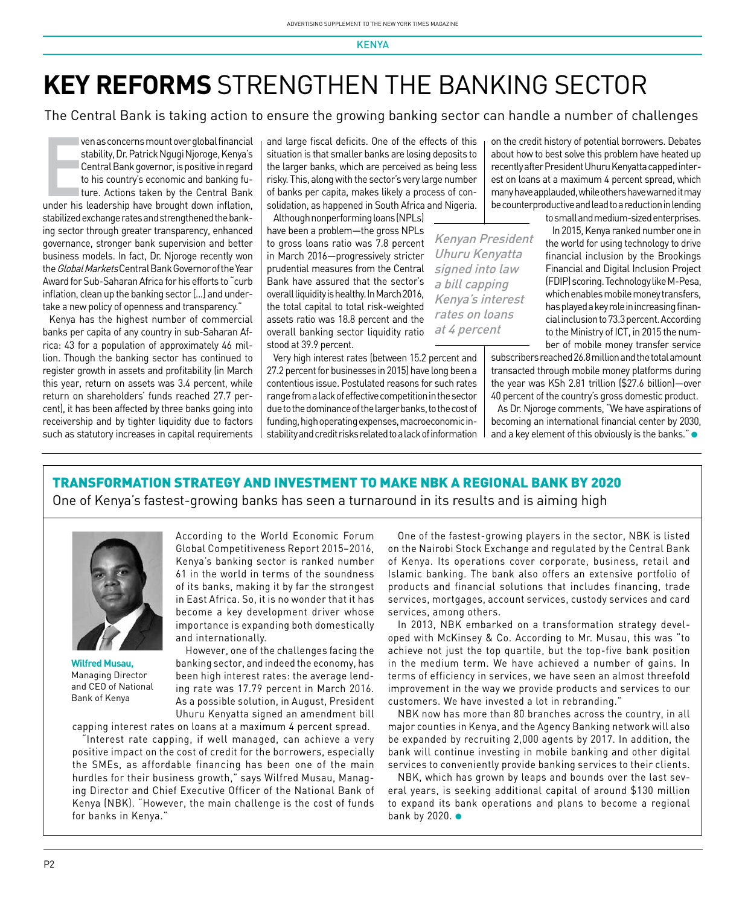## **key reforms** strengthen the banking sector

The Central Bank is taking action to ensure the growing banking sector can handle a number of challenges

ven as concerns mount over global financial<br>stability, Dr. Patrick Ngugi Njoroge, Kenya's<br>Central Bank governor, is positive in regard<br>to his country's economic and banking fu-<br>ture. Actions taken by the Central Bank<br>under ven as concerns mount over global financial stability, Dr. Patrick Ngugi Njoroge, Kenya's Central Bank governor, is positive in regard to his country's economic and banking future. Actions taken by the Central Bank stabilized exchange rates and strengthened the banking sector through greater transparency, enhanced governance, stronger bank supervision and better business models. In fact, Dr. Njoroge recently won the Global Markets Central Bank Governor of the Year Award for Sub-Saharan Africa for his efforts to "curb inflation, clean up the banking sector [...] and undertake a new policy of openness and transparency."

Kenya has the highest number of commercial banks per capita of any country in sub-Saharan Africa: 43 for a population of approximately 46 million. Though the banking sector has continued to register growth in assets and profitability (in March this year, return on assets was 3.4 percent, while return on shareholders' funds reached 27.7 percent), it has been affected by three banks going into receivership and by tighter liquidity due to factors such as statutory increases in capital requirements

and large fiscal deficits. One of the effects of this situation is that smaller banks are losing deposits to the larger banks, which are perceived as being less risky. This, along with the sector's very large number of banks per capita, makes likely a process of consolidation, as happened in South Africa and Nigeria.

due to the dominance of the larger banks, to the cost of funding, high operating expenses, macroeconomic instability and credit risks related to a lack of information

Although nonperforming loans (NPLs) have been a problem—the gross NPLs to gross loans ratio was 7.8 percent in March 2016—progressively stricter prudential measures from the Central Bank have assured that the sector's overall liquidity is healthy. In March 2016, the total capital to total risk-weighted assets ratio was 18.8 percent and the overall banking sector liquidity ratio stood at 39.9 percent.

Very high interest rates (between 15.2 percent and 27.2 percent for businesses in 2015) have long been a contentious issue. Postulated reasons for such rates range from a lack of effective competition in the sector at 4 percent

Kenyan President Uhuru Kenyatta signed into law a bill capping Kenya's interest rates on loans

on the credit history of potential borrowers. Debates about how to best solve this problem have heated up recently after President Uhuru Kenyatta capped interest on loans at a maximum 4 percent spread, which many have applauded, while others have warned it may be counterproductive and lead to a reduction in lending

to small and medium-sized enterprises.

In 2015, Kenya ranked number one in the world for using technology to drive financial inclusion by the Brookings Financial and Digital Inclusion Project (FDIP) scoring. Technology like M-Pesa, which enables mobile money transfers, has played a key role in increasing financial inclusion to 73.3 percent. According to the Ministry of ICT, in 2015 the number of mobile money transfer service

subscribers reached 26.8 million and the total amount transacted through mobile money platforms during the year was KSh 2.81 trillion (\$27.6 billion)—over 40 percent of the country's gross domestic product.

As Dr. Njoroge comments, "We have aspirations of becoming an international financial center by 2030, and a key element of this obviously is the banks." $\bullet$ 

### Transformation strategy and investment to make NBK a regional bank by 2020

One of Kenya's fastest-growing banks has seen a turnaround in its results and is aiming high



**Wilfred Musau,**  Managing Director and CEO of National Bank of Kenya

According to the World Economic Forum Global Competitiveness Report 2015–2016, Kenya's banking sector is ranked number 61 in the world in terms of the soundness of its banks, making it by far the strongest in East Africa. So, it is no wonder that it has become a key development driver whose importance is expanding both domestically and internationally.

However, one of the challenges facing the banking sector, and indeed the economy, has been high interest rates: the average lending rate was 17.79 percent in March 2016. As a possible solution, in August, President Uhuru Kenyatta signed an amendment bill

capping interest rates on loans at a maximum 4 percent spread. "Interest rate capping, if well managed, can achieve a very

positive impact on the cost of credit for the borrowers, especially the SMEs, as affordable financing has been one of the main hurdles for their business growth," says Wilfred Musau, Managing Director and Chief Executive Officer of the National Bank of Kenya (NBK). "However, the main challenge is the cost of funds for banks in Kenya."

One of the fastest-growing players in the sector, NBK is listed on the Nairobi Stock Exchange and regulated by the Central Bank of Kenya. Its operations cover corporate, business, retail and Islamic banking. The bank also offers an extensive portfolio of products and financial solutions that includes financing, trade services, mortgages, account services, custody services and card services, among others.

In 2013, NBK embarked on a transformation strategy developed with McKinsey & Co. According to Mr. Musau, this was "to achieve not just the top quartile, but the top-five bank position in the medium term. We have achieved a number of gains. In terms of efficiency in services, we have seen an almost threefold improvement in the way we provide products and services to our customers. We have invested a lot in rebranding."

NBK now has more than 80 branches across the country, in all major counties in Kenya, and the Agency Banking network will also be expanded by recruiting 2,000 agents by 2017. In addition, the bank will continue investing in mobile banking and other digital services to conveniently provide banking services to their clients.

NBK, which has grown by leaps and bounds over the last several years, is seeking additional capital of around \$130 million to expand its bank operations and plans to become a regional bank by 2020.  $\bullet$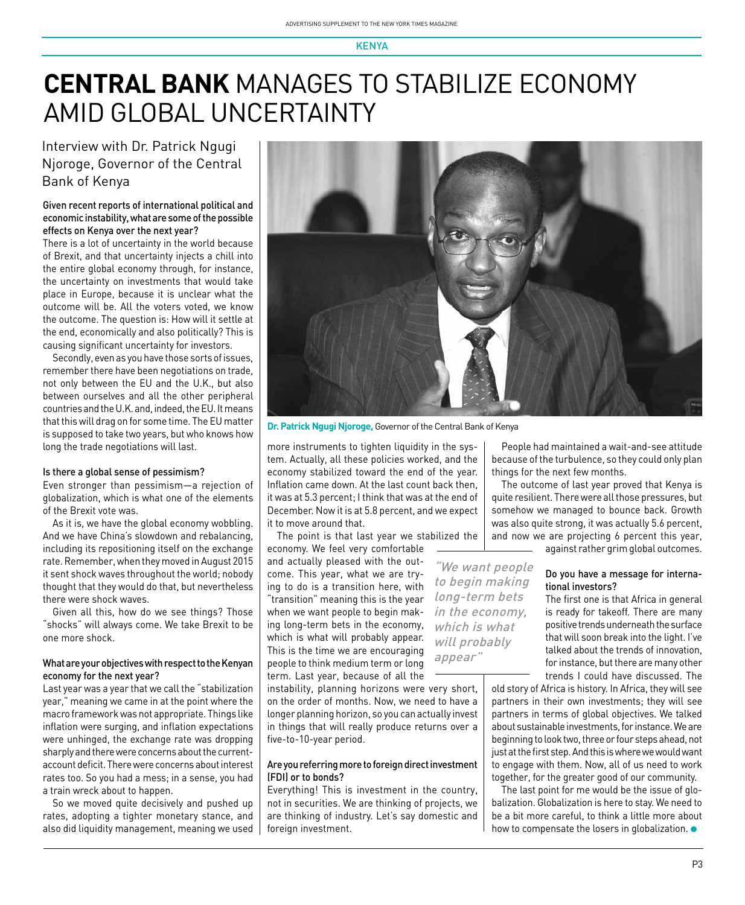## **CENTRAL BANK** manages to stabilize economy amid global uncertainty

### Interview with Dr. Patrick Ngugi Njoroge, Governor of the Central Bank of Kenya

#### Given recent reports of international political and economic instability, what are some of the possible effects on Kenya over the next year?

There is a lot of uncertainty in the world because of Brexit, and that uncertainty injects a chill into the entire global economy through, for instance, the uncertainty on investments that would take place in Europe, because it is unclear what the outcome will be. All the voters voted, we know the outcome. The question is: How will it settle at the end, economically and also politically? This is causing significant uncertainty for investors.

Secondly, even as you have those sorts of issues, remember there have been negotiations on trade, not only between the EU and the U.K., but also between ourselves and all the other peripheral countries and the U.K. and, indeed, the EU. It means that this will drag on for some time. The EU matter is supposed to take two years, but who knows how long the trade negotiations will last.

#### Is there a global sense of pessimism?

Even stronger than pessimism—a rejection of globalization, which is what one of the elements of the Brexit vote was.

As it is, we have the global economy wobbling. And we have China's slowdown and rebalancing, including its repositioning itself on the exchange rate. Remember, when they moved in August 2015 it sent shock waves throughout the world; nobody thought that they would do that, but nevertheless there were shock waves.

Given all this, how do we see things? Those "shocks" will always come. We take Brexit to be one more shock.

#### What are your objectives with respect to the Kenyan economy for the next year?

Last year was a year that we call the "stabilization year," meaning we came in at the point where the macro framework was not appropriate. Things like inflation were surging, and inflation expectations were unhinged, the exchange rate was dropping sharply and there were concerns about the currentaccount deficit. There were concerns about interest rates too. So you had a mess; in a sense, you had a train wreck about to happen.

So we moved quite decisively and pushed up rates, adopting a tighter monetary stance, and also did liquidity management, meaning we used



"We want people to begin making long-term bets in the economy, which is what will probably appear"

**Dr. Patrick Ngugi Njoroge,** Governor of the Central Bank of Kenya

more instruments to tighten liquidity in the system. Actually, all these policies worked, and the economy stabilized toward the end of the year. Inflation came down. At the last count back then, it was at 5.3 percent; I think that was at the end of December. Now it is at 5.8 percent, and we expect it to move around that.

The point is that last year we stabilized the

economy. We feel very comfortable and actually pleased with the outcome. This year, what we are trying to do is a transition here, with "transition" meaning this is the year when we want people to begin making long-term bets in the economy, which is what will probably appear. This is the time we are encouraging people to think medium term or long term. Last year, because of all the

instability, planning horizons were very short, on the order of months. Now, we need to have a longer planning horizon, so you can actually invest in things that will really produce returns over a five-to-10-year period.

#### Are you referring more to foreign direct investment (FDI) or to bonds?

Everything! This is investment in the country, not in securities. We are thinking of projects, we are thinking of industry. Let's say domestic and foreign investment.

People had maintained a wait-and-see attitude because of the turbulence, so they could only plan things for the next few months.

The outcome of last year proved that Kenya is quite resilient. There were all those pressures, but somehow we managed to bounce back. Growth was also quite strong, it was actually 5.6 percent, and now we are projecting 6 percent this year,

against rather grim global outcomes.

#### Do you have a message for international investors?

The first one is that Africa in general is ready for takeoff. There are many positive trends underneath the surface that will soon break into the light. I've talked about the trends of innovation, for instance, but there are many other trends I could have discussed. The

old story of Africa is history. In Africa, they will see partners in their own investments; they will see partners in terms of global objectives. We talked about sustainable investments, for instance. We are beginning to look two, three or four steps ahead, not just at the first step. And this is where we would want to engage with them. Now, all of us need to work together, for the greater good of our community.

The last point for me would be the issue of globalization. Globalization is here to stay. We need to be a bit more careful, to think a little more about how to compensate the losers in globalization.  $\bullet$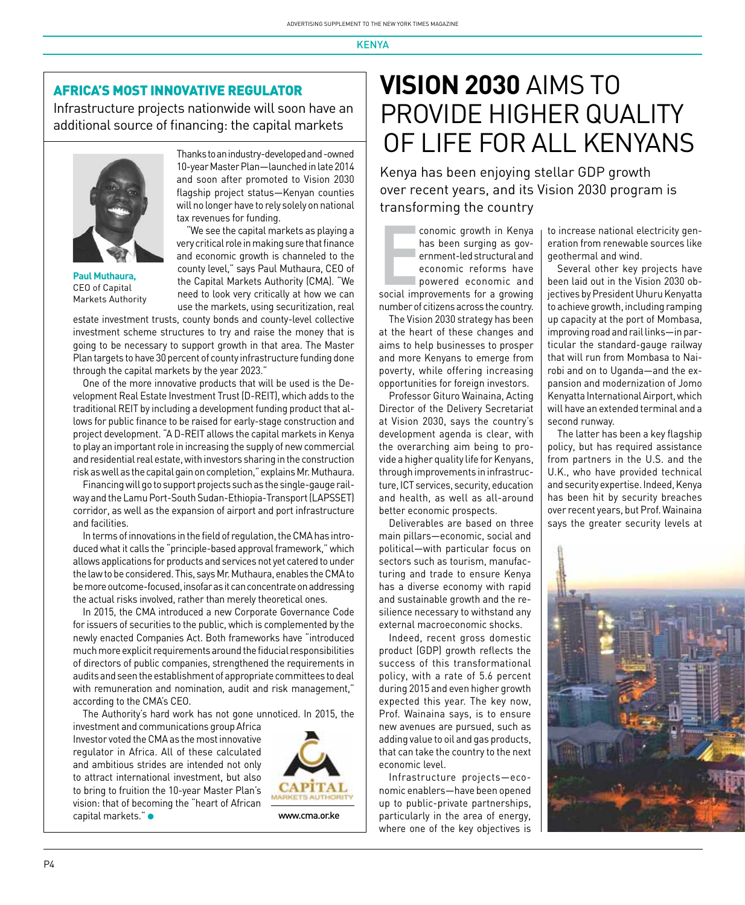### Africa's most innovative regulator

Infrastructure projects nationwide will soon have an additional source of financing: the capital markets



**Paul Muthaura,**  CEO of Capital Markets Authority

Thanks to an industry-developed and -owned 10-year Master Plan—launched in late 2014 and soon after promoted to Vision 2030 flagship project status—Kenyan counties will no longer have to rely solely on national tax revenues for funding.

"We see the capital markets as playing a very critical role in making sure that finance and economic growth is channeled to the county level," says Paul Muthaura, CEO of the Capital Markets Authority (CMA). "We need to look very critically at how we can use the markets, using securitization, real

estate investment trusts, county bonds and county-level collective investment scheme structures to try and raise the money that is going to be necessary to support growth in that area. The Master Plan targets to have 30 percent of county infrastructure funding done through the capital markets by the year 2023."

One of the more innovative products that will be used is the Development Real Estate Investment Trust (D-REIT), which adds to the traditional REIT by including a development funding product that allows for public finance to be raised for early-stage construction and project development. "A D-REIT allows the capital markets in Kenya to play an important role in increasing the supply of new commercial and residential real estate, with investors sharing in the construction risk as well as the capital gain on completion," explains Mr. Muthaura.

Financing will go to support projects such as the single-gauge railway and the Lamu Port-South Sudan-Ethiopia-Transport (LAPSSET) corridor, as well as the expansion of airport and port infrastructure and facilities.

In terms of innovations in the field of regulation, the CMA has introduced what it calls the "principle-based approval framework," which allows applications for products and services not yet catered to under the law to be considered. This, says Mr. Muthaura, enables the CMA to be more outcome-focused, insofar as it can concentrate on addressing the actual risks involved, rather than merely theoretical ones.

In 2015, the CMA introduced a new Corporate Governance Code for issuers of securities to the public, which is complemented by the newly enacted Companies Act. Both frameworks have "introduced much more explicit requirements around the fiducial responsibilities of directors of public companies, strengthened the requirements in audits and seen the establishment of appropriate committees to deal with remuneration and nomination, audit and risk management," according to the CMA's CEO.

The Authority's hard work has not gone unnoticed. In 2015, the

investment and communications group Africa Investor voted the CMA as the most innovative regulator in Africa. All of these calculated and ambitious strides are intended not only to attract international investment, but also to bring to fruition the 10-year Master Plan's vision: that of becoming the "heart of African capital markets."



www.cma.or.ke

## **VISION 2030** aims to provide higher quality of life for all kenyans

Kenya has been enjoying stellar GDP growth over recent years, and its Vision 2030 program is transforming the country

conomic growth in Kenya<br>has been surging as gov-<br>ernment-led structural and<br>economic reforms have<br>powered economic and<br>social improvements for a growing conomic growth in Kenya has been surging as government-led structural and economic reforms have powered economic and number of citizens across the country.

The Vision 2030 strategy has been at the heart of these changes and aims to help businesses to prosper and more Kenyans to emerge from poverty, while offering increasing opportunities for foreign investors.

Professor Gituro Wainaina, Acting Director of the Delivery Secretariat at Vision 2030, says the country's development agenda is clear, with the overarching aim being to provide a higher quality life for Kenyans, through improvements in infrastructure, ICT services, security, education and health, as well as all-around better economic prospects.

Deliverables are based on three main pillars—economic, social and political—with particular focus on sectors such as tourism, manufacturing and trade to ensure Kenya has a diverse economy with rapid and sustainable growth and the resilience necessary to withstand any external macroeconomic shocks.

Indeed, recent gross domestic product (GDP) growth reflects the success of this transformational policy, with a rate of 5.6 percent during 2015 and even higher growth expected this year. The key now, Prof. Wainaina says, is to ensure new avenues are pursued, such as adding value to oil and gas products, that can take the country to the next economic level.

Infrastructure projects—economic enablers—have been opened up to public-private partnerships, particularly in the area of energy, where one of the key objectives is

to increase national electricity generation from renewable sources like geothermal and wind.

Several other key projects have been laid out in the Vision 2030 objectives by President Uhuru Kenyatta to achieve growth, including ramping up capacity at the port of Mombasa, improving road and rail links—in particular the standard-gauge railway that will run from Mombasa to Nairobi and on to Uganda—and the expansion and modernization of Jomo Kenyatta International Airport, which will have an extended terminal and a second runway.

The latter has been a key flagship policy, but has required assistance from partners in the U.S. and the U.K., who have provided technical and security expertise. Indeed, Kenya has been hit by security breaches over recent years, but Prof. Wainaina says the greater security levels at

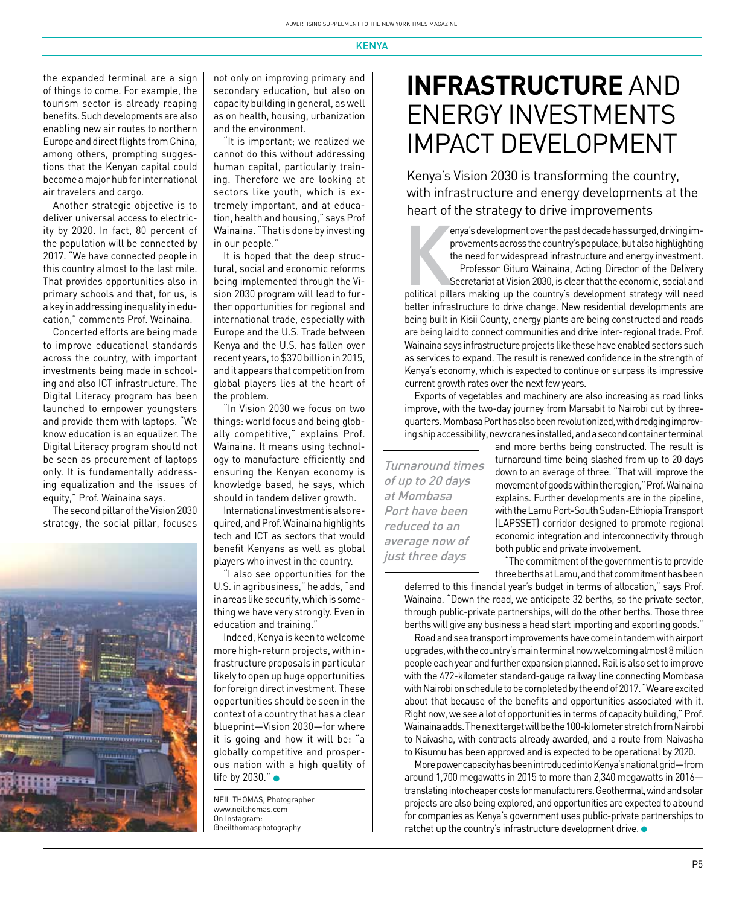the expanded terminal are a sign of things to come. For example, the tourism sector is already reaping benefits. Such developments are also enabling new air routes to northern Europe and direct flights from China, among others, prompting suggestions that the Kenyan capital could become a major hub for international air travelers and cargo.

Another strategic objective is to deliver universal access to electricity by 2020. In fact, 80 percent of the population will be connected by 2017. "We have connected people in this country almost to the last mile. That provides opportunities also in primary schools and that, for us, is a key in addressing inequality in education," comments Prof. Wainaina.

Concerted efforts are being made to improve educational standards across the country, with important investments being made in schooling and also ICT infrastructure. The Digital Literacy program has been launched to empower youngsters and provide them with laptops. "We know education is an equalizer. The Digital Literacy program should not be seen as procurement of laptops only. It is fundamentally addressing equalization and the issues of equity," Prof. Wainaina says.

The second pillar of the Vision 2030 strategy, the social pillar, focuses



not only on improving primary and secondary education, but also on capacity building in general, as well as on health, housing, urbanization and the environment.

"It is important; we realized we cannot do this without addressing human capital, particularly training. Therefore we are looking at sectors like youth, which is extremely important, and at education, health and housing," says Prof Wainaina. "That is done by investing in our people."

It is hoped that the deep structural, social and economic reforms being implemented through the Vision 2030 program will lead to further opportunities for regional and international trade, especially with Europe and the U.S. Trade between Kenya and the U.S. has fallen over recent years, to \$370 billion in 2015, and it appears that competition from global players lies at the heart of the problem.

"In Vision 2030 we focus on two things: world focus and being globally competitive," explains Prof. Wainaina. It means using technology to manufacture efficiently and ensuring the Kenyan economy is knowledge based, he says, which should in tandem deliver growth.

International investment is also required, and Prof. Wainaina highlights tech and ICT as sectors that would benefit Kenyans as well as global players who invest in the country.

"I also see opportunities for the U.S. in agribusiness," he adds, "and in areas like security, which is something we have very strongly. Even in education and training."

Indeed, Kenya is keen to welcome more high-return projects, with infrastructure proposals in particular likely to open up huge opportunities for foreign direct investment. These opportunities should be seen in the context of a country that has a clear blueprint—Vision 2030—for where it is going and how it will be: "a globally competitive and prosperous nation with a high quality of life by 2030." $\bullet$ 

Neil Thomas, Photographer www.neilthomas.com On Instagram: @neilthomasphotography

### **Infrastructure** and Energy investments impact development

Kenya's Vision 2030 is transforming the country, with infrastructure and energy developments at the heart of the strategy to drive improvements

enya's development over the past decade has surged, driving im-<br>provements across the country's populace, but also highlighting<br>the need for widespread infrastructure and energy investment.<br>Professor Gituro Wainaina, Actin enya's development over the past decade has surged, driving improvements across the country's populace, but also highlighting the need for widespread infrastructure and energy investment. Professor Gituro Wainaina, Acting Director of the Delivery Secretariat at Vision 2030, is clear that the economic, social and

better infrastructure to drive change. New residential developments are being built in Kisii County, energy plants are being constructed and roads are being laid to connect communities and drive inter-regional trade. Prof. Wainaina says infrastructure projects like these have enabled sectors such as services to expand. The result is renewed confidence in the strength of Kenya's economy, which is expected to continue or surpass its impressive current growth rates over the next few years.

Exports of vegetables and machinery are also increasing as road links improve, with the two-day journey from Marsabit to Nairobi cut by threequarters. Mombasa Port has also been revolutionized, with dredging improving ship accessibility, new cranes installed, and a second container terminal

Turnaround times of up to 20 days at Mombasa Port have been reduced to an average now of just three days

and more berths being constructed. The result is turnaround time being slashed from up to 20 days down to an average of three. "That will improve the movement of goods within the region," Prof. Wainaina explains. Further developments are in the pipeline, with the Lamu Port-South Sudan-Ethiopia Transport (LAPSSET) corridor designed to promote regional economic integration and interconnectivity through both public and private involvement.

"The commitment of the government is to provide three berths at Lamu, and that commitment has been

deferred to this financial year's budget in terms of allocation," says Prof. Wainaina. "Down the road, we anticipate 32 berths, so the private sector, through public-private partnerships, will do the other berths. Those three berths will give any business a head start importing and exporting goods."

Road and sea transport improvements have come in tandem with airport upgrades, with the country's main terminal now welcoming almost 8 million people each year and further expansion planned. Rail is also set to improve with the 472-kilometer standard-gauge railway line connecting Mombasa with Nairobi on schedule to be completed by the end of 2017. "We are excited about that because of the benefits and opportunities associated with it. Right now, we see a lot of opportunities in terms of capacity building," Prof. Wainaina adds. The next target will be the 100-kilometer stretch from Nairobi to Naivasha, with contracts already awarded, and a route from Naivasha to Kisumu has been approved and is expected to be operational by 2020.

More power capacity has been introduced into Kenya's national grid—from around 1,700 megawatts in 2015 to more than 2,340 megawatts in 2016 translating into cheaper costs for manufacturers. Geothermal, wind and solar projects are also being explored, and opportunities are expected to abound for companies as Kenya's government uses public-private partnerships to ratchet up the country's infrastructure development drive.  $\bullet$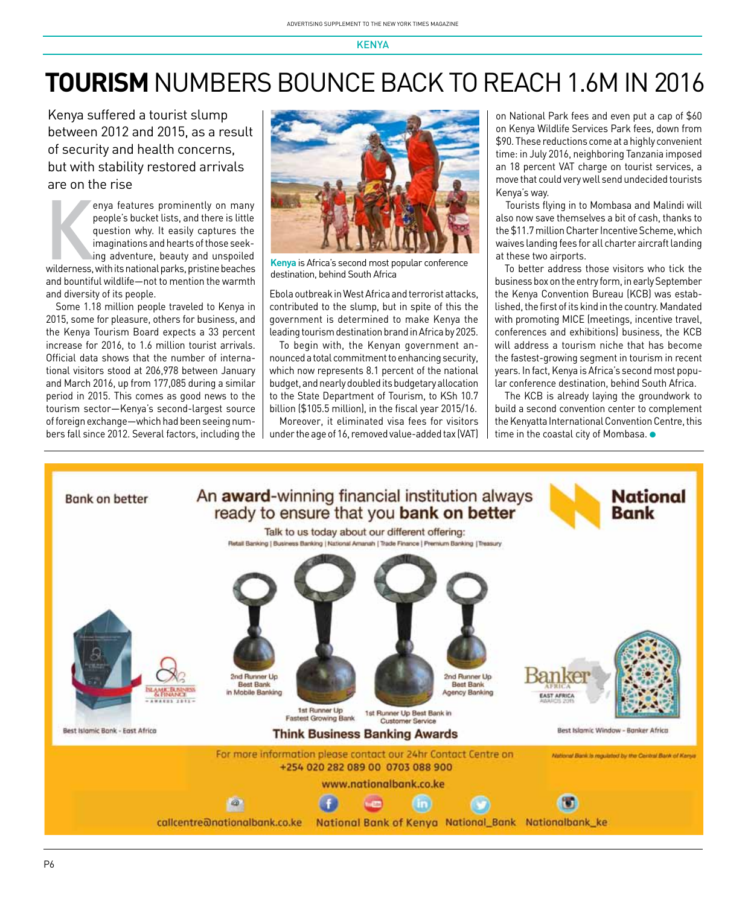## **TOURISM NUMBERS BOUNCE BACK TO REACH 1.6M IN 2016**

Kenya suffered a tourist slump between 2012 and 2015, as a result of security and health concerns, but with stability restored arrivals are on the rise

enya features prominently on many<br>people's bucket lists, and there is little<br>question why. It easily captures the<br>imaginations and hearts of those seek-<br>ing adventure, beauty and unspoiled<br>wilderness, with its national par enya features prominently on many people's bucket lists, and there is little question why. It easily captures the imaginations and hearts of those seeking adventure, beauty and unspoiled and bountiful wildlife—not to mention the warmth and diversity of its people.

Some 1.18 million people traveled to Kenya in 2015, some for pleasure, others for business, and the Kenya Tourism Board expects a 33 percent increase for 2016, to 1.6 million tourist arrivals. Official data shows that the number of international visitors stood at 206,978 between January and March 2016, up from 177,085 during a similar period in 2015. This comes as good news to the tourism sector—Kenya's second-largest source of foreign exchange—which had been seeing numbers fall since 2012. Several factors, including the



**Kenya** is Africa's second most popular conference destination, behind South Africa

Ebola outbreak in West Africa and terrorist attacks, contributed to the slump, but in spite of this the government is determined to make Kenya the leading tourism destination brand in Africa by 2025.

To begin with, the Kenyan government announced a total commitment to enhancing security, which now represents 8.1 percent of the national budget, and nearly doubled its budgetary allocation to the State Department of Tourism, to KSh 10.7 billion (\$105.5 million), in the fiscal year 2015/16.

Moreover, it eliminated visa fees for visitors under the age of 16, removed value-added tax (VAT) on National Park fees and even put a cap of \$60 on Kenya Wildlife Services Park fees, down from \$90. These reductions come at a highly convenient time: in July 2016, neighboring Tanzania imposed an 18 percent VAT charge on tourist services, a move that could very well send undecided tourists Kenya's way.

Tourists flying in to Mombasa and Malindi will also now save themselves a bit of cash, thanks to the \$11.7 million Charter Incentive Scheme, which waives landing fees for all charter aircraft landing at these two airports.

To better address those visitors who tick the business box on the entry form, in early September the Kenya Convention Bureau (KCB) was established, the first of its kind in the country. Mandated with promoting MICE (meetings, incentive travel, conferences and exhibitions) business, the KCB will address a tourism niche that has become the fastest-growing segment in tourism in recent years. In fact, Kenya is Africa's second most popular conference destination, behind South Africa.

The KCB is already laying the groundwork to build a second convention center to complement the Kenyatta International Convention Centre, this time in the coastal city of Mombasa.  $\bullet$ 

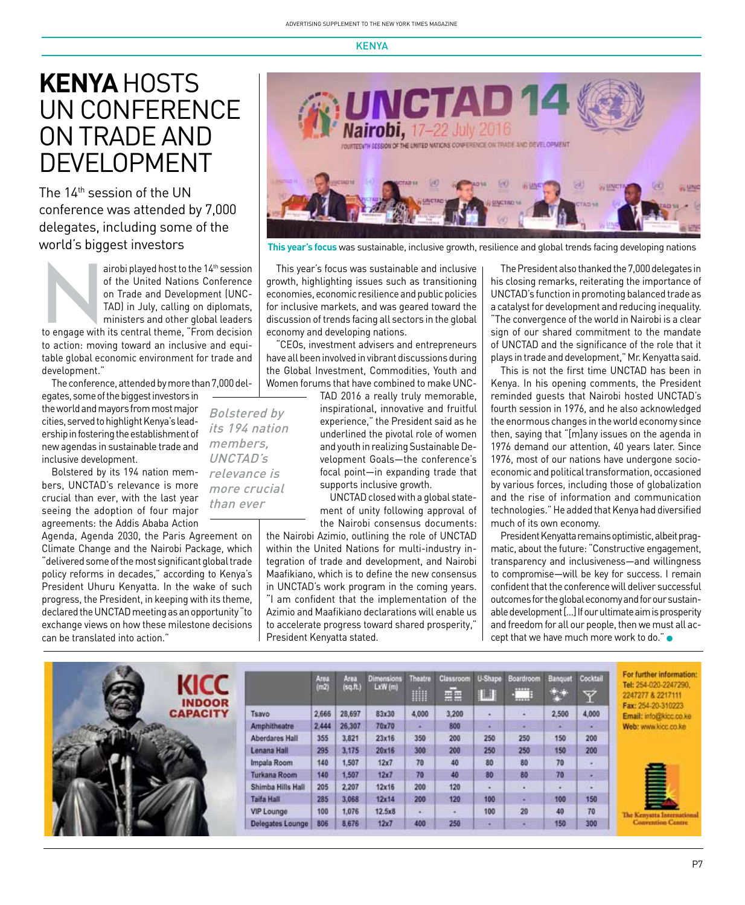### **Kenya** Hosts UN Conference on Trade and **DEVELOPMENT**

The 14th session of the UN conference was attended by 7,000 delegates, including some of the

airobi played host to the 14<sup>th</sup> session<br>
of the United Nations Conference<br>
on Trade and Development (UNC-<br>
TAD) in July, calling on diplomats,<br>
ministers and other global leaders<br>
to engage with its central theme, "From d of the United Nations Conference on Trade and Development (UNC-TAD) in July, calling on diplomats, ministers and other global leaders to action: moving toward an inclusive and equitable global economic environment for trade and

development." The conference, attended by more than 7,000 del-

egates, some of the biggest investors in the world and mayors from most major cities, served to highlight Kenya's leadership in fostering the establishment of new agendas in sustainable trade and inclusive development.

Bolstered by its 194 nation members, UNCTAD's relevance is more crucial than ever, with the last year seeing the adoption of four major agreements: the Addis Ababa Action

Agenda, Agenda 2030, the Paris Agreement on Climate Change and the Nairobi Package, which "delivered some of the most significant global trade policy reforms in decades," according to Kenya's President Uhuru Kenyatta. In the wake of such progress, the President, in keeping with its theme, declared the UNCTAD meeting as an opportunity "to exchange views on how these milestone decisions can be translated into action."



world's biggest investors **This year's focus** was sustainable, inclusive growth, resilience and global trends facing developing nations

This year's focus was sustainable and inclusive growth, highlighting issues such as transitioning economies, economic resilience and public policies for inclusive markets, and was geared toward the discussion of trends facing all sectors in the global economy and developing nations.

"CEOs, investment advisers and entrepreneurs have all been involved in vibrant discussions during the Global Investment, Commodities, Youth and Women forums that have combined to make UNC-

Bolstered by its 194 nation members, UNCTAD's relevance is more crucial than ever

TAD 2016 a really truly memorable, inspirational, innovative and fruitful experience," the President said as he underlined the pivotal role of women and youth in realizing Sustainable Development Goals—the conference's focal point—in expanding trade that supports inclusive growth.

UNCTAD closed with a global statement of unity following approval of the Nairobi consensus documents:

the Nairobi Azimio, outlining the role of UNCTAD within the United Nations for multi-industry integration of trade and development, and Nairobi Maafikiano, which is to define the new consensus in UNCTAD's work program in the coming years. "I am confident that the implementation of the Azimio and Maafikiano declarations will enable us to accelerate progress toward shared prosperity," President Kenyatta stated.

The President also thanked the 7,000 delegates in his closing remarks, reiterating the importance of UNCTAD's function in promoting balanced trade as a catalyst for development and reducing inequality. "The convergence of the world in Nairobi is a clear sign of our shared commitment to the mandate of UNCTAD and the significance of the role that it plays in trade and development," Mr. Kenyatta said.

This is not the first time UNCTAD has been in Kenya. In his opening comments, the President reminded guests that Nairobi hosted UNCTAD's fourth session in 1976, and he also acknowledged the enormous changes in the world economy since then, saying that "[m]any issues on the agenda in 1976 demand our attention, 40 years later. Since 1976, most of our nations have undergone socioeconomic and political transformation, occasioned by various forces, including those of globalization and the rise of information and communication technologies." He added that Kenya had diversified much of its own economy.

President Kenyatta remains optimistic, albeit pragmatic, about the future: "Constructive engagement, transparency and inclusiveness—and willingness to compromise—will be key for success. I remain confident that the conference will deliver successful outcomes for the global economy and for our sustainable development […] If our ultimate aim is prosperity and freedom for all our people, then we must all accept that we have much more work to do."  $\bullet$ 

| <b>KICC</b><br><b>INDOOR</b> |                       | Area<br>(m2) | Area<br>(sqft) | Dimensions<br>LxW (m) | <b>Theatre</b><br>WH | Classroom<br>÷ | <b>U-Shape</b><br>讕 | Boardroom<br>E | Banquet | Cocktail<br>v | For further information:<br>Tel: 254-020-2247290.<br>2247277 & 2217111 |
|------------------------------|-----------------------|--------------|----------------|-----------------------|----------------------|----------------|---------------------|----------------|---------|---------------|------------------------------------------------------------------------|
| <b>CAPACITY</b>              | Tsavo                 | 2,666        | 28,697         | 83x30                 | 4,000                | 3,200          |                     | ×              | 2,500   | 4,000         | Fax: 254-20-310223<br>Email: info@kicc.co.ke                           |
|                              | Amphitheatre          | 2.444        | 26,307         | 70x70                 |                      | 800            |                     |                |         |               | Web: www.kicc.co.ke                                                    |
|                              | <b>Aberdares Hall</b> | 355          | 3,821          | 23x16                 | 350                  | 200            | 250                 | 250            | 150     | 208           |                                                                        |
|                              | Lenana Hall           | 295          | 3,175          | 20x16                 | 300                  | 200            | 250                 | 250            | 150     | 200           |                                                                        |
|                              | Impala Room           | 140          | 1,507          | 12x7                  | 70                   | 40             | 80                  | 80             | 70      | $\sim$        |                                                                        |
|                              | <b>Turkana Room</b>   | 140          | 1,507          | 12x7                  | 70                   | 40             | 80                  | 80             | 70      |               |                                                                        |
|                              | Shimba Hills Hall     | 205          | 2.207          | 12x16                 | 200                  | 120            |                     | ×              |         |               |                                                                        |
|                              | Taifa Hall            | 285          | 3.068          | 12x14                 | 200                  | 120            | 100                 | $\sim$         | 100     | 150           |                                                                        |
|                              | VIP Lounge            | 100          | 1,076          | 12.5x8                |                      |                | 100                 | 20             | 40      | 70            | The Kenvatta Internationa                                              |
|                              | Delegates Lounge      | 805          | 8,676          | 12x7                  | 400                  | 250            |                     |                | 150     | 300           | <b>Convention Centre</b>                                               |